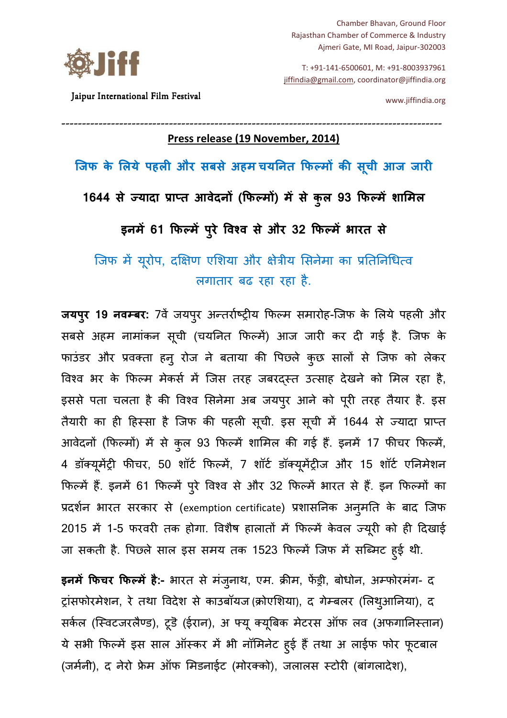Chamber Bhavan, Ground Floor Rajasthan Chamber of Commerce & Industry Ajmeri Gate, MI Road, Jaipur-302003

T: +91-141-6500601, M: +91-8003937961 jiffindia@gmail.com, coordinator@jiffindia.org

Jaipur International Film Festival

www.jiffindia.org

# -------------------------------------------------------------------------------------------- ----------------------------------------- **Press release (19 November, 2014)**

**िजफ के लये पहल और सबसे अहम चयनत फम क सची आज जार ू**

1644 से ज्यादा प्राप्त आवेदनो (फिल्मो) में से कुल 93 फिल्में शामिल

**इनम) 61 फम) परे /व0व से और 32 फम ु ) भारत से**

जिफ में यूरोप, दक्षिण एशिया और क्षेत्रीय सिनेमा का प्रतिनिधित्व लगातार बढ रहा रहा है.

**जयपुर 19 नवम्बर:** 7वे जयपुर अन्तरोष्ट्रीय फिल्म समारोह-जिफ के लिये पहली और सबसे अहम नामांकन सूची (चयनित फिल्में) आज जारी कर दी गई है. जिफ के फाउंडर और प्रवक्ता हनु रोज ने बताया की पिछले कुछ सालों से जिफ को लेकर विश्व भर के फिल्म मेकर्स में जिस तरह जबरदस्त उत्साह देखने को मिल रहा है, इससे पता चलता है की विश्व सिनेमा अब जयपुर आने को पूरी तरह तैयार है. इस तैयारी का ही हिस्सा है जिफ की पहली सूची. इस सूची में 1644 से ज्यादा प्राप्त आवेदनो (फिल्मो) में से कुल 93 फिल्में शामिल की गई है. इनमें 17 फीचर फिल्मे, 4 डॉक्यूमेंट्री फीचर, 50 शॉर्ट फिल्में, 7 शॉर्ट डॉक्यूमेंट्रीज और 15 शॉर्ट एनिमेशन फिल्में हैं. इनमें 61 फिल्में पुरे विश्व से और 32 फिल्में भारत से हैं. इन फिल्मों का प्रदर्शन भारत सरकार से (exemption certificate) प्रशासनिक अन्**मति के बाद** जिफ 2015 में 1-5 फरवरी तक होगा. विशैष हालातों में फिल्में केवल ज्यूरी को ही दिखाई जा सकती है. पिछ्ले साल इस समय तक 1523 फिल्में जिफ में सब्मिट हुई थी.

इ**नमें फिचर फिल्में है:-** भारत से मंजुनाथ, एम. क्रीम, फेंड्री, बोधोन, अम्फोरमंग- द ट्रांसफोरमेशन, रे तथा विदेश से काउबॉयज (क्रोएशिया), द गेम्बलर (लिथुआनिया), द सर्कल (स्विटजरलैण्ड), टूडॆ (ईरान), अ फ्यू क्यूबिक मेटरस ऑफ लव (अफगानिस्तान) ये सभी फिल्मे इस साल ऑस्कर में भी नॉमिनेट हुई है तथा अ लाईफ फोर फूटबाल (जर्मनी), द नेरो फ्रेम ऑफ मिडनाईट (मोरक्को), जलालस स्टोरी (बांगलादेश),

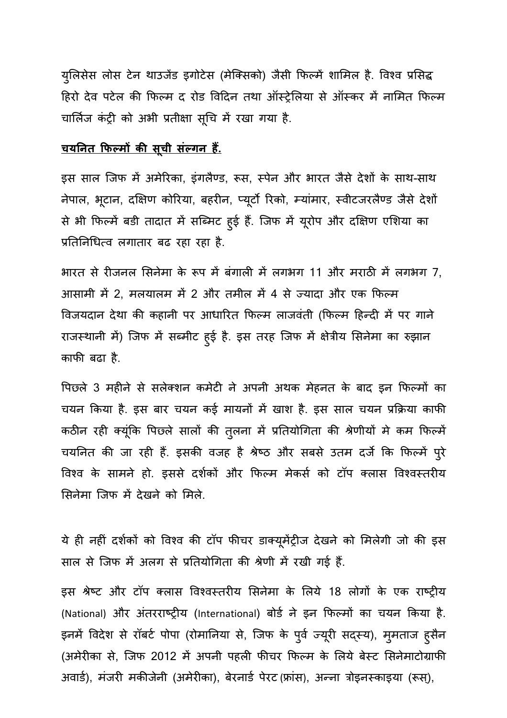युलिसेस लोस टेन थाउजेड इगोटेस (मेक्सिको) जैसी फिल्मे शामिल है. विश्व प्रसिद्ध हिरो देव पटेल की फिल्म द रोड विदिन तथा ऑस्ट्रेलिया से ऑस्कर में नामित फिल्म चार्लिज कंट्री को अभी प्रतीक्षा सूचि में रखा गया है.

# <u>चयनित फिल्मों की सूची संल्गन हैं.</u>

इस साल जिफ में अमेरिका, इंगलैण्ड, रूस, स्पेन और भारत जैसे देशों के साथ-साथ नेपाल, भूटान, दक्षिण कोरिया, बहरीन, प्यूर्टो रिको, म्यांमार, स्वीटजरलैण्ड जैसे देशों से भी फिल्में बडी तादात में सब्मिट हुई है. जिफ में यूरोप और दक्षिण एशिया का प्रतिनिधित्व लगातार बढ रहा रहा है.

भारत से रीजनल सिनेमा के रूप में बंगाली में लगभग 11 और मराठी में लगभग 7, आसामी में 2, मलयालम में 2 और तमील में 4 से ज्यादा और एक फिल्म विजयदान देथा की कहानी पर आधारित फिल्म लाजवंती (फिल्म हिन्दी में पर गाने राजस्थानी में) जिफ में सब्मीट हुई है. इस तरह जिफ में क्षेत्रीय सिनेमा का रुझान काफी बढा है.

पिछले 3 महीने से सलेक्शन कमेटी ने अपनी अथक मेहनत के बाद इन फिल्मों का चयन किया है. इस बार चयन कई मायनों में खाश है. इस साल चयन प्रक्रिया काफी कठीन रही क्यूंकि पिछले सालों की तुलना में प्रतियोगिता की श्रेणीयों में कम फिल्में चयनित की जा रही है. इसकी वजह है श्रेष्ठ और सबसे उतम दर्ज कि फिल्में पुरे विश्व के सामने हो. इससे दर्शकों और फिल्म मेकर्स को टॉप क्लास विश्वस्तरीय सिनेमा जिफ में देखने को मिले.

ये ही नहीं दर्शकों को विश्व की टॉप फीचर डाक्यूमेंट्रीज देखने को मिलेगी जो की इस साल से जिफ में अलग से प्रतियोगिता की श्रेणी में रखी गई हैं.

इस श्रेष्ट और टॉप क्लास विश्वस्तरीय सिनेमा के लिये 18 लोगों के एक राष्ट्रीय (National) और अंतरराष्ट्रीय (International) बोर्ड ने इन फिल्मों का चयन किया है. इनमें विदेश से रॉबर्ट पोपा (रोमानिया से, जिफ के पुर्व ज्यूरी सद्स्य), मुमताज हुसैन (अमेरीका से, जिफ 2012 में अपनी पहली फीचर फिल्म के लिये बेस्ट सिनेमाटोग्राफी अवार्ड), मंजरी मकीजेनी (अमेरीका), बेरनार्ड पेरट (फ्रांस), अन्ना त्रोइनस्काइया (रूस्),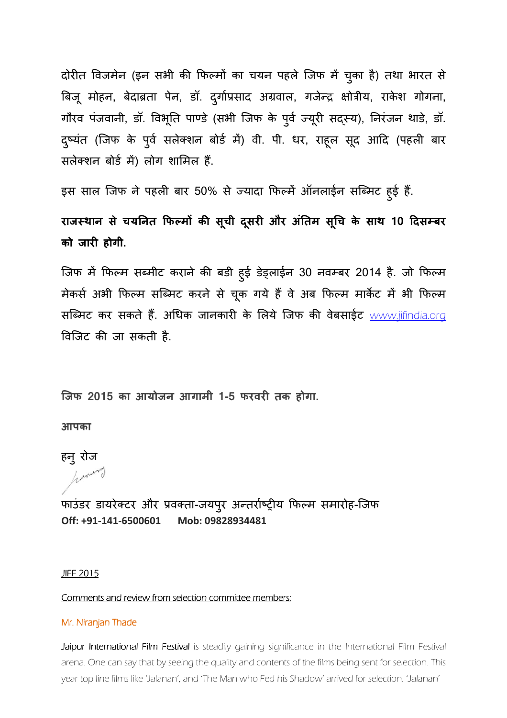दोरीत विजमेन (इन सभी की फिल्मों का चयन पहले जिफ में चुका है) तथा भारत से बिजू मोहन, बेदाब्रता पेन, डॉ. दुर्गाप्रसाद अग्रवाल, गजेन्द्र क्षोत्रीय, राकेश गोगना, गौरव पजवानी, डॉ. विभूति पाण्डे (सभी जिफ के पुर्व ज्यूरी सद्स्य), निरजन थाडे, डॉ. दुष्यंत (जिफ के पुर्व सलेक्शन बोर्ड में) वी. पी. धर, राहूल सूद आदि (पहली बार सलेक्शन बोर्ड में) लोग शामिल हैं.

इस साल जिफ ने पहली बार 50% से ज्यादा फिल्में ऑनलाईन सब्मिट हुई हैं.

राजस्थान से चयनित फिल्मों की सूची दूसरी और अंतिम सूचि के साथ 10 दिसम्बर **को जार होगी.** 

जिफ में फिल्म सब्मीट कराने की बड़ी हुई डेड्लाईन 30 नवम्बर 2014 है. जो फिल्म मेकर्स अभी फिल्म सब्मिट करने से चूक गये हैं वे अब फिल्म मार्केट में भी फिल्म सब्मिट कर सकते हैं. अधिक जानकारी के लिये जिफ की वेबसाईट www.jifindia.org विजिट की जा सकती है.

**िजफ 2015 का आयोजन आगामी 1-5 फरवर तक होगा.** 

**आपका** 

हनु रोज having

फाउंडर डायरेक्टर और प्रवक्ता-जयपुर अन्तर्राष्ट्रीय फिल्म समारोह-जिफ **Off: +91-141-6500601 Mob: 09828934481** 

*JIFF 2015* 

*Comments and review from selection committee members:* 

#### *Mr. Niranjan Thade Niranjan Thade r. Thade*

Jaipur International Film Festival is steadily gaining significance in the International Film Festival *arena. One can say that by seeing the quality and contents of the films being sent for selection. This year top line films like 'Jalanan', and 'The Man who Fed his Shadow' arrived for selection. 'Jalanan'*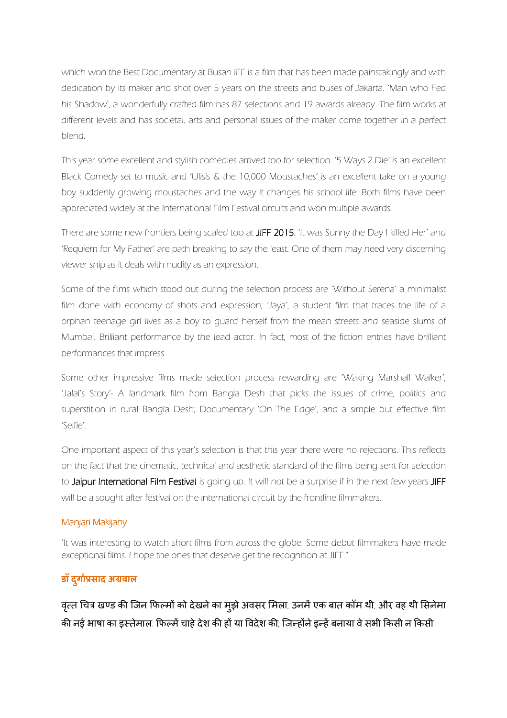*which won the Best Documentary at Busan IFF is a film that has been made painstakingly and with dedication by its maker and shot over 5 years on the streets and buses of Jakarta. 'Man who Fed his Shadow', a wonderfully crafted film has 87 selections and 19 awards already. The film works at different levels and has societal, arts and personal issues of the maker come together in a perfect blend.* 

*This year some excellent and stylish comedies arrived too for selection. '5 Ways 2 Die' is an excellent Black Comedy set to music and 'Ulisis & the 10,000 Moustaches' is an excellent take on a young boy suddenly growing moustaches and the way it changes his school life. Both films have been appreciated widely at the International Film Festival circuits and won multiple awards.* 

*There are some new frontiers being scaled too at JIFF 2015 FF 2015. 'It was Sunny the Day I killed Her' and 'Requiem for My Father' are path breaking to say the least. One of them may need very discerning viewer ship as it deals with nudity as an expression.* 

*Some of the films which stood out during the selection process are 'Without Serena' a minimalist*  film done with economy of shots and expression; 'Jaya', a student film that traces the life of a *orphan teenage girl lives as a boy to guard herself from the mean streets and seaside slums of Mumbai. Brilliant performance by the lead actor. In fact, most of the fiction entries have brilliant performances that impress.* 

Some other impressive films made selection process rewarding are 'Waking Marshall Walker', 'Jalal's Story'- A landmark film from Bangla Desh that picks the issues of crime, politics and *superstition in rural Bangla Desh; Documentary 'On The Edge', and a simple but effective film 'Selfie'.* 

*One important aspect of this year's selection is that this year there were no rejections. This reflects on the fact that the cinematic, technical and aesthetic standard of the films being sent for selection to Jaipur International Film Festival Jaipur International Film Festival is going up. It will not be a surprise if in the next few years JIFF* will be a sought after festival on the international circuit by the frontline filmmakers.

### *Manjari Makijany Makijany*

*"It was interesting to watch short films from across the globe. Some debut filmmakers have made exceptional films. I hope the ones that deserve get the recognition at JIFF."* 

# $\overline{\textbf{S}}$  **दुर्गाप्रसाद** अग्रवाल

वृत्त चित्र खण्ड की जिन फिल्मों को देखने का मुझे अवसर मिला, उनमें एक बात कॉम थी, और वह थी सिनेमा की नई भाषा का इस्तेमाल, फिल्में चाहे देश की हों या विदेश की, जिन्होंने इन्हें बनाया वे सभी किसी न किसी